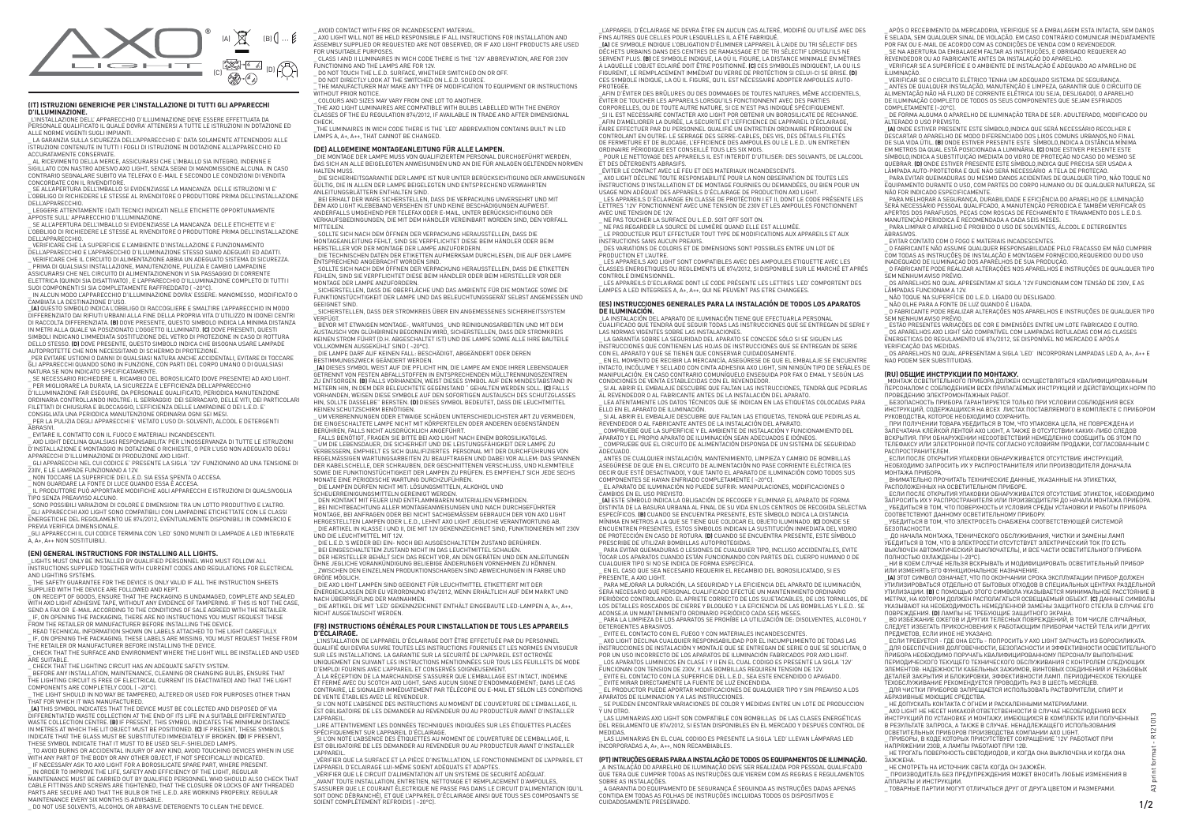## **(IT) ISTRUZIONI GENERICHE PER L'INSTALLAZIONE DI TUTTI GLI APPARECCHI D'ILLUMINAZIONE.**

\_L'INSTALLAZIONE DELL' APPARECCHIO D'ILLUMINAZIONE DEVE ESSERE EFFETTUATA DA PERSONALE QUALIFICATO IL QUALE DOVRA' ATTENERSI A TUTTE LE ISTRUZIONI IN DOTAZIONE ED ALLE NORME VIGENTI SUGLI IMPIANTI.

\_ LA GARANZIA SULLA SICUREZZA DELL'APPARECCHIO E' DATA SOLAMENTE ATTENENDOSI ALLE ISTRUZIONI CONTENUTE IN TUTTI I FOGLI DI ISTRUZIONE IN DOTAZIONE ALL'APPARECCHIO ED ACCURATAMENTE CONSERVATE.

\_ AL RICEVIMENTO DELLA MERCE, ASSICURARSI CHE L'IMBALLO SIA INTEGRO, INDENNE E SIGILLATO CON NASTRO ADESIVO AXO LIGHT, SENZA SEGNI DI MANOMISSIONE ALCUNA. IN CASO CONTRARIO SEGNALARE SUBITO VIA TELEFAX O E-MAIL E SECONDO LE CONDIZIONI DI VENDITA CONCORDATE CON IL RIVENDITORE.

\_ SE ALL'APERTURA DELL'IMBALLO SI EVIDENZIASSE LA MANCANZA DELLE ISTRUZIONI VI E' L'OBBLIGO DI RICHIEDERE LE STESSE AL RIVENDITORE O PRODUTTORE PRIMA DELL'INSTALLAZIONE DELL'APPARECCHIO.

.<br>PRIMA DI QUALSIASI INSTALI AZIONE, MANUTENZIONE, PULIZIA E CAMBIO LAMPADINE, ASSICURARSI CHE NEL CIRCUITO DI ALIMENTAZIONENON VI SIA PASSAGGIO DI CORRENTE ELETTRICA (QUINDI SIA DISATTIVATO) , E L'APPARECCHIO D'ILLUMINAZIONE COMPLETO DI TUTTI I

\_ LEGGERE ATTENTAMENTE I DATI TECNICI INDICATI NELLE ETICHETTE OPPORTUNAMENTE APPOSTE SULL' APPARECCHIO D'ILLUMINAZIONE. \_ SE ALL'APERTURA DELL'IMBALLO SI EVIDENZIASSE LA MANCANZA DELLE ETICHETTE VI E'

L'OBBLIGO DI RICHIEDERE LE STESSE AL RIVENDITORE O PRODUTTORE PRIMA DELL'INSTALLAZIONE DELL'APPARECCHIO.

\_PER EVITARE USTIONI O DANNI DI QUALSIASI NATURA ANCHE ACCIDENTALI, EVITARE DI TOCCARE GLI APPARECCHI QUANDO SONO IN FUNZIONE, CON PARTI DEL CORPO UMANO O DI QUALSIASI NATURA SE NON INDICATO SPECIFICATAMENTE.

\_ SE NECESSARIO RICHIEDERE IL RICAMBIO DEL BOROSILICATO (DOVE PRESENTE) AD AXO LIGHT. L'OE NEOESSANIO NICHIEDENE IE NICAMBIO DEE BONOSIEICATO (DOVE I NESENTE) A<br>PER MIGLIORARE LA DURATA, LA SICUREZZA E L'EFFICIENZA DELL'APPARECCHIO D'ILLUMINAZIONE FAR ESEGUIRE, DA PERSONALE QUALIFICATO, PERIODICA MANUTENZIONE<br>ORDINARIA CONTROLLANDO INOLTRE: IL SERRAGGIO DEI SERRACAVO, DELLE VITI, DEI PARTICOLARI

\_ VERIFICARE CHE LA SUPERFICIE E L'AMBIENTE D'INSTALLAZIONE E FUNZIONAMENTO DELL'APPARECCHIO E L'APPARECCHIO D'ILLUMINAZIONE STESSO SIANO ADEGUATI ED ADATTI. \_ VERIFICARE CHE IL CIRCUITO DI ALIMENTAZIONE ABBIA UN ADEGUATO SISTEMA DI SICUREZZA.

SUOI COMPONENTI SI SIA COMPLETAMENTE RAFFREDDATO ( ~20°C). \_ IN ALCUN MODO L'APPARECCHIO D'ILLUMINAZIONE DOVRA' ESSERE: MANOMESSO, MODIFICATO O CAMBIATA LA DESTINAZIONE D'USO.

\_GLI APPARECCHI IL CUI CODICE TERMINA CON 'LED' SONO MUNITI DI LAMPADE A LED INTEGRATE  $A$ ,  $A$ +,  $A$ <sub>++</sub> NON SOSTITUIBILI

\_**(A)** QUESTO SIMBOLO INDICA L'OBBLIGO DI RACCOGLIERE E SMALTIRE L'APPARECCHIO IN MODO DIFFERENZIATO DAI RIFIUTI URBANI ALLA FINE DELLA PROPRIA VITA D'UTILIZZO IN IDONEI CENTRI DI RACCOLTA DIFFERENZIATA. **(B)** DOVE PRESENTE, QUESTO SIMBOLO INDICA LA MINIMA DISTANZA IN METRI ALLA QUALE VA POSIZIONATO L'OGGETTO ILLUMINATO. **(C)** DOVE PRESENTI, QUESTI SIMBOLI INDICANO L'IMMEDIATA SOSTITUZIONE DEL VETRO DI PROTEZIONE IN CASO DI ROTTURA DELLO STESSO. **(D)** DOVE PRESENTE, QUESTO SIMBOLO INDICA CHE BISOGNA USARE LAMPADE AUTOPROTETTE CHE NON NECESSITANO DI SCHERMO DI PROTEZIONE.

THE SAFETY GUARANTEE FOR THE DEVICE IS ONLY VALID IF ALL THE INSTRUCTION SHEETS SUPPLIED WITH THE DEVICE ARE FOLLOWED AND KEPT.

LIF, ON OPENING THE PACKAGING, THERE ARE NO INSTRUCTIONS YOU MUST REQUEST THESE FROM THE RETAILER OR MANUFACTURER BEFORE INSTALLING THE DEVICE. \_ READ TECHNICAL INFORMATION SHOWN ON LABELS ATTACHED TO THE LIGHT CAREFULLY.

FILETTATI DI CHIUSURA E BLOCCAGGIO, L'EFFICIENZA DELLE LAMPADINE O DEI L.E.D. E' CONSIGLIATA UNA PERIODICA MANUTENZIONE ORDINARIA OGNI SEI MESI. \_ PER LA PULIZIA DEGLI APPARECCHI E' VIETATO L'USO DI: SOLVENTI, ALCOOL E DETERGENTI ABRASIVI.

\_ EVITARE IL CONTATTO CON IL FUOCO E MATERIALI INCANDESCENTI.

\_ AXO LIGHT DECLINA QUALSIASI RESPONSABILITA' PER L'INOSSERVANZA DI TUTTE LE ISTRUZIONI D'INSTALLAZIONE E MONTAGGIO IN DOTAZIONE O RICHIESTE, O PER L'USO NON ADEGUATO DEGLI APPARECCHI D'ILLUMINAZIONE DI PRODUZIONE AXO LIGHT.

 $\overline{\phantom{a}}$  AXO LIGHT WILL NOT BE HELD RESPONSIBLE IF ALL INSTRUCTIONS FOR INSTALLATION AND ASSEMBLY SUPPLIED OR REQUESTED ARE NOT OBSERVED, OR IF AXO LIGHT PRODUCTS ARE USED FOR UNSUITABLE PURPOSES.

\_ GLI APPARECCHI NEL CUI CODICE E' PRESENTE LA SIGLA '12V' FUNZIONANO AD UNA TENSIONE DI 230V, E LE LAMPADE FUNZIONANO A 12V.

\_ DO NOT DIRECTLY LOOK AT THE SWITCHED ON L.E.D. SOURCE. THE MANUFACTURER MAY MAKE ANY TYPE OF MODIFICATION TO EQUIPMENT OR INSTRUCTIONS

WITHOUT PRIOR NOTICE.

\_ NON TOCCARE LA SUPERFICIE DEI L.E.D. SIA ESSA SPENTA O ACCESA. \_ NON GUARDARE LA FONTE DI LUCE QUANDO ESSA È ACCESA.

\_ COLOURS AND SIZES MAY VARY FROM ONE LOT TO ANOTHER. .<br>THE AXO LIGHT LUMINAIRES ARE COMPATIBLE WITH BULBS LABELLED WITH THE ENERGY

\_ IL PRODUTTORE PUÒ APPORTARE MODIFICHE AGLI APPARECCHI E ISTRUZIONI DI QUALSIVOGLIA TIPO SENZA PREAVVISO ALCUNO.

\_ SONO POSSIBILI VARIAZIONI DI COLORE E DIMENSIONI TRA UN LOTTO PRODUTTIVO E L'ALTRO. .<br>GLI APPARECCHI AXO LIGHT SONO COMPATIBILI CON LAMPADINE ETICHETTATE CON LE CLASSI ENERGETICHE DEL REGOLAMENTO UE 874/2012, EVENTUALMENTE DISPONIBILI IN COMMERCIO E PREVIA VERIFICA DIMENSIONALE.

## **(EN) GENERAL INSTRUCTIONS FOR INSTALLING ALL LIGHTS.**

\_ DIE TECHNISCHEN DATEN DER ETIKETTEN AUFMERKSAM DURCHLESEN, DIE AUF DER LAMPE ENTSPRECHEND ANGEBRACHT WORDEN SIND.

\_LIGHTS MUST ONLY BE INSTALLED BY QUALIFIED PERSONNEL WHO MUST FOLLOW ALL INSTRUCTIONS SUPPLIED TOGETHER WITH CURRENT CODES AND REGULATIONS FOR ELECTRICAL AND LIGHTING SYSTEMS.

\_ ON RECEIPT OF GOODS, ENSURE THAT THE PACKAGING IS UNDAMAGED, COMPLETE AND SEALED WITH AXO LIGHT ADHESIVE TAPE, WITHOUT ANY EVIDENCE OF TAMPERING. IF THIS IS NOT THE CASE, SEND A FAX OR E-MAIL ACCORDING TO THE CONDITIONS OF SALE AGREED WITH THE RETAILER.

\_ DIE LAMPE DARF AUF KEINEN FALL: BESCHÄDIGT, ABGEÄNDERT ODER DEREN BESTIMMUNGSZWECK GEÄNDERT WERDEN.

\_ IF, ON OPENING THE PACKAGING, THESE LABELS ARE MISSING, YOU MUST REQUEST THESE FROM THE RETAILER OR MANUFACTURER BEFORE INSTALLING THE DEVICE.

\_ CHECK THAT THE SURFACE AND ENVIRONMENT WHERE THE LIGHT WILL BE INSTALLED AND USED **ARE SUITABLE** \_ CHECK THAT THE LIGHTING CIRCUIT HAS AN ADEQUATE SAFETY SYSTEM.

\_ BEFORE ANY INSTALLATION, MAINTENANCE, CLEANING OR CHANGING BULBS, ENSURE THAT

THE LIGHTING CIRCUIT IS FREE OF ELECTRICAL CURRENT (IS DEACTIVATED) AND THAT THE LIGHT COMPONENTS ARE COMPLETELY COOL ( ~20°C).

\_ THE LIGHT SHOULD IN NO WAY BE TAMPERED, ALTERED OR USED FOR PURPOSES OTHER THAN THAT FOR WHICH IT WAS MANUFACTURED.

\_ BEI EINGESCHALTETEM ZUSTAND NICHT IN DAS LEUCHTMITTEL SCHAUEN. .<br>DER HERSTELLER BEHÄLT SICH DAS RECHT VOR, AN DEN GERÄTEN UND DEN ANLEITUNGEN.

\_**(A)** THIS SYMBOL INDICATES THAT THE DEVICE MUST BE COLLECTED AND DISPOSED OF VIA DIFFERENTIATED WASTE COLLECTION AT THE END OF ITS LIFE IN A SUITABLE DIFFERENTIATED WASTE COLLECTION CENTRE. **(B)** IF PRESENT, THIS SYMBOL INDICATES THE MINIMUM DISTANCE IN METRES AT WHICH THE LIT OBJECT MUST BE POSITIONED. **(C)** IF PRESENT, THESE SYMBOLS INDICATE THAT THE GLASS MUST BE SUBSTITUTED IMMEDIATELY IF BROKEN. **(D)** IF PRESENT, THESE SYMBOL INDICATE THAT IT MUST TO BE USED SELF-SHIELDED LAMPS.

\_ TO AVOID BURNS OR ACCIDENTAL INJURY OF ANY KIND, AVOID TOUCHING DEVICES WHEN IN USE WITH ANY PART OF THE BODY OR ANY OTHER OBJECT, IF NOT SPECIFICALLY INDICATED. \_ IF NECESSARY ASK TO AXO LIGHT FOR A BOROSILICATE SPARE PART, WHERE PRESENT.

\_ IN ORDER TO IMPROVE THE LIFE, SAFETY AND EFFICIENCY OF THE LIGHT, REGULAR MAINTENANCE MUST BE CARRIED OUT BY QUALIFIED PERSONNEL WHO SHOULD ALSO CHECK THAT CABLE FITTINGS AND SCREWS ARE TIGHTENED, THAT THE CLOSURE OR LOCKS OF ANY THREADED PARTS ARE SECURE AND THAT THE BULB OR THE L.E.D. ARE WORKING PROPERLY. REGULAR MAINTENANCE EVERY SIX MONTHS IS ADVISABLE.

\_ DO NOT USE SOLVENTS, ALCOHOL OR ABRASIVE DETERGENTS TO CLEAN THE DEVICE.

\_ AVOID CONTACT WITH FIRE OR INCANDESCENT MATERIAL.

\_ CLASS I AND II LUMINAIRES IN WICH CODE THERE IS THE '12V' ABBREVIATION, ARE FOR 230V FUNCTIONING AND THE LAMPS ARE FOR 12V.

\_ DO NOT TOUCH THE L.E.D. SURFACE, WHETHER SWITCHED ON OR OFF.

NETTAINE PERIODIQUE EST CONSEILLE TOUS LES SIX MOIS.<br>POUR LE NETTOYAGE DES APPAREILS IL EST INTERDIT D'UTILISER: DES SOLVANTS, DE L'ALCOOL ET DES DÉTERGENTS ABRASIFS.

CLASSES OF THE EU REGULATION 874/2012, IF AVAILABLE IN TRADE AND AFTER DIMENSIONAL **CHECK.** \_THE LUMINAIRES IN WICH CODE THERE IS THE 'LED' ABBREVIATION CONTAINS BUILT IN LED

LAMPS A, A+, A++, THAT CANNOT BE CHANGED.

## **(DE) ALLGEMEINE MONTAGEANLEITUNG FÜR ALLE LAMPEN.**

\_DIE MONTAGE DER LAMPE MUSS VON QUALIFIZIERTEM PERSONAL DURCHGEFÜHRT WERDEN, DAS SICH AN ALLE BEIGELEGTEN ANWEISUNGEN UND AN DIE FÜR ANLAGEN GELTENDEN NORMEN HALTEN MUSS.

> LE PRODUCTEUR PEUT EFFECTUER TOUT TYPE DE MODIFICATIONS AUX APPAREILS ET AUX INSTRUCTIONS SANS AUCUN PREAVIS.

DES VARIATIONS DE COLORIS ET DE DIMENSIONS SONT POSSIBLES ENTRE UN LOT DE PRODUCTION ET L'AUTRE.

\_ DIE SICHERHEITSGARANTIE DER LAMPE IST NUR UNTER BERÜCKSICHTIGUNG DER ANWEISUNGEN GÜLTIG, DIE IN ALLEN DER LAMPE BEIGELEGTEN UND ENTSPRECHEND VERWAHRTEN

ANLEITUNGSBLÄTTERN ENTHALTEN SIND.<br>\_ BEI ERHALT DER WARE SICHERSTELLEN, DASS DIE VERPACKUNG UNVERSEHRT UND MIT DEM AXO LIGHT KLEBEBAND VERSEHEN IST UND KEINE BESCHÄDIGUNGEN AUFWEIST. ANDERFALLS UMGEHEND PER TELEFAX ODER E-MAIL, UNTER BERÜCKSICHTIGUNG DER VERKAUFSBEDINGUNGEN, DIE MIT DEM HÄNDLER VEREINBART WORDEN SIND, DEN VORFALL MITTEIL EN

\_ SOLLTE SICH NACH DEM ÖFFNEN DER VERPACKUNG HERAUSSTELLEN, DASS DIE MONTAGEANLEITUNG FEHLT, SIND SIE VERPFLICHTET DIESE BEIM HÄNDLER ODER BEIM HERSTELLER VOR DER MONTAGE DER LAMPE ANZUFORDERN.

\_ SOLLTE SICH NACH DEM ÖFFNEN DER VERPACKUNG HERAUSSTELLEN, DASS DIE ETIKETTEN FEHLEN, SIND SIE VERPFLICHTET DIESE BEIM HÄNDLER ODER BEIM HERSTELLER VOR DER MONTAGE DER LAMPE ANZUFORDERN.

> CAMBIOS EN EL USO PREVISTO. \_**(A)** ESTE SÍMBOLO INDICA LA OBLIGACIÓN DE RECOGER Y ELIMINAR EL APARATO DE FORMA DISTINTA DE LA BASURA URBANA AL FINAL DE SU VIDA EN LOS CENTROS DE RECOGIDA SELECTIVA ESPECÍFICOS. **(B)** CUANDO SE ENCUENTRA PRESENTE, ESTE SÍMBOLO INDICA LA DISTANCIA MÍNIMA EN METROS A LA QUE SE TIENE QUE COLOCAR EL OBJETO ILUMINADO. **(C)** DONDE SE ENCUENTREN PRESENTES, ESTOS SÍMBOLOS INDICAN LA SUSTITUCIÓN INMEDIATA DEL VIDRIO DE PROTECCIÓN EN CASO DE ROTURA. **(D)** CUANDO SE ENCUENTRA PRESENTE, ESTE SÍMBOLO PRESCRIBE DE UTILIZAR BOMBILLAS AUTOPROTEGIDAS.

\_ SICHERSTELLEN, DASS DIE OBERFLÄCHE UND DAS AMBIENTE FÜR DIE MONTAGE SOWIE DIE FUNKTIONSTÜCHTIGKEIT DER LAMPE UND DAS BELEUCHTUNGSGERÄT SELBST ANGEMESSEN UND GEEIGNET SIND.

\_ SICHERSTELLEN, DASS DER STROMKREIS ÜBER EIN ANGEMESSENES SICHERHEITSSYSTEM VERFÜGT.

\_ BEVOR MIT ETWAIGEN MONTAGE-, WARTUNGS\_ UND REINIGUNGSARBEITEN UND MIT DEM AUSTAUSCH VON GLÜHBIRNEN BEGONNEN WIRD, SICHERSTELLEN, DASS DER STROMKREIS KEINEN STROM FÜHRT (D.H. ABGESCHALTET IST) UND DIE LAMPE SOWIE ALLE IHRE BAUTEILE VOLLKOMMEN AUSGEKÜHLT SIND ( ~20°C).

\_**(A)** DIESES SYMBOL WEIST AUF DIE PFLICHT HIN, DIE LAMPE AM ENDE IHRER LEBENSDAUER GETRENNT VON FESTEN ABFALLSTOFFEN IN ENTSPRECHENDEN MÜLLTRENNUNGSZENTREN ZU ENTSORGEN. **(B)** FALLS VORHANDEN, WEIST DIESES SYMBOL AUF DEN MINDESTABSTAND IN METERN HIN, IN DEM DER BELEUCHTETE GEGENSTAND " GEHALTEN WERDEN SOLL. **(C)** FALLS VORHANDEN, WEISEN DIESE SYMBOLE AUF DEN SOFORTIGEN AUSTAUSCH DES SCHUTZGLASSES HIN, SOLLTE DASSELBE" BERSTEN. **(D)** DIESES SYMBOL BEDEUTET, DASS DIE LEUCHTMITTEL KEINEN SCHUTZSCHIRM BENÖTIGEN.

\_ UM VERBRENNUNGEN ODER ETWAIGE SCHÄDEN UNTERSCHIEDLICHSTER ART ZU VERMEIDEN, DIE EINGESCHALTETE LAMPE NICHT MIT KÖRPERTEILEN ODER ANDEREN GEGENSTÄNDEN BERÜHREN, FALLS NICHT AUSDRÜCKLICH ANGEFÜHRT.

\_ FALLS BENÖTIGT, FRAGEN SIE BITTE BEI AXO LIGHT NACH EINEM BOROSILIKATGLAS. \_ UM DIE LEBENSDAUER, DIE SICHERHEIT UND DIE LEISTUNGSFÄHIGKEIT DER LAMPE ZU VERBESSERN, EMPHIELT ES SICH QUALIFIZIERTES PERSONAL MIT DER DURCHFÜHRUNG VON REGELMÄSSIGEN WARTUNGSARBEITEN ZU BEAUFTRAGEN UND DABEI VOR ALLEM: DAS SPANNEN DER KABELSCHELLE, DER SCHRAUBEN, DER GESCHNITTENEN VERSCHLUSS, UND KLEMMTEILE SOWIE DIE FUNKTIONSTÜCHTIGKEIT DER LAMPEN ZU PRÜFEN. ES EMPFIEHLT SICH JEDE SECHS MONATE EINE PERIODISCHE WARTUNG DURCHZUFÜHREN.

\_ SE NA ABERTURA DA EMBALAGEM FALTAR AS INSTRUÇÕES, E OBRIGADO REQUERER AO REVENDEDOR OU AO FABRICANTE ANTES DA INSTALAÇÃO DO APARELHO. \_ VERIFICAR SE A SUPERFÍCIE E O AMBIENTE DE INSTALAÇÃO É ADEQUADO AO APARELHO DE ILUMINAÇÃO

\_ VERIFICAR SE O CIRCUITO ELÉTRICO TENHA UM ADEQUADO SISTEMA DE SEGURANÇA. \_ ANTES DE QUALQUER INSTALAÇÃO, MANUTENÇÃO E LIMPEZA, GARANTIR QUE O CIRCUITO DE ALIMENTAÇÃO NÃO HÁ FLUXO DE CORRENTE ELÉTRICA (OU SEJA, DESLIGADO), O APARELHO DE ILUMINAÇÃO COMPLETO DE TODOS OS SEUS COMPONENTES QUE SEJAM ESFRIADOS COMPLETAMENTE ( 200C)

\_ DIE LAMPEN DÜRFEN NICHT MIT: LÖSUNGSMITTELN, ALKOHOL UND

SCHEUERREINIGUNGSMITTELN GEREINIGT WERDEN. \_ DEN KONTAKT MIT FEUER UND ENTFLAMMBAREN MATERIALIEN VERMEIDEN.

\_ BEI NICHTBEACHTUNG ALLER MONTAGEANWEISUNGEN UND NACH DURCHGEFÜHRTER MONTAGE, BEI ANFRAGEN ODER BEI NICHT SACHGEMÄSSEM GEBRAUCH DER VON AXO LIGHT HERGESTELLTEN LAMPEN ODER L.E.D., LEHNT AXO LIGHT JEGLICHE VERANTWORTUNG AB. \_ DIE ARTIKEL IN KLASSE I UND II, DIE MIT 12V GEKENNZEICHNET SIND, FUNKTIONIEREN MIT 230V UND DIE LEUCHTMITTEL MIT 12V.

\_ DIE L.E.D.'S WEDER BEI EIN- NOCH BEI AUSGESCHALTETEM ZUSTAND BERÜHREN.

NÃO FOR INDICADO ESPECIFICAMENTE.<br>\_ PARA MELHORAR A SEGURANÇA, DURABILIDADE E EFICIÊNCIA DO APARELHO DE ILUMINAÇÃO SERÁ NECESSÁRIO PESSOAL QUALIFCADO, A MANUTENÇÃO PERIODICA E TAMBÉM VERIFICAR OS APERTOS DOS PARAFUSOS, PEÇAS COM ROSCAS DE FECHAMENTO E TRAVAMENTO DOS L.E.D.S. MANUTENÇÃO PERIODICA É RECOMENDADA A CADA SEIS MESES.

OHNE JEGLICHE VORANKÜNDIGUNG BELIEBIGE ÄNDERUNGEN VORNEHMEN ZU KÖNNEN. \_ ZWISCHEN DEN EINZELNEN PRODUKTIONSCHARGEN SIND ABWEICHUNGEN IN FARBE UND GRÖßE MÖGLICH.

\_ O FABRICANTE PODE REALIZAR ALTERAÇÕES NOS APARELHOS E INSTRUÇÕES DE QUALQUER TIPO SEM NENHUM AVISO PRÉVIO

\_ DIE AXO LIGHT LAMPEN SIND GEEIGNET FÜR LEUCHTMITTEL ETIKETTIERT MIT DER ENERGIEKLASSEN DER EU VERORDNUNG 874/2012, WENN ERHÄLTLICH AUF DEM MARKT UND

NACH ÜBERPRÜFUNG DER MAßNAHMEN. \_ DIE ARTIKEL DIE MIT 'LED' GEKENNZEICHNET ENTHÄLT EINGEBAUTE LED-LAMPEN A, A+, A++, NICHT AUSGETAUSCHT WERDEN.

### **(FR) INSTRUCTIONS GÉNÉRALES POUR L'INSTALLATION DE TOUS LES APPAREILS D'ÉCLAIRAGE.**

\_МОНТАЖ ОСВЕТИТЕЛЬНОГО ПРИБОРА ДОЛЖЕН ОСУЩЕСТВЛЯТЬСЯ КВАЛИФИЦИРОВАННЫМ<br>ПЕРСОНАЛОМ С СОБЛЮДЕНИЕМ ВСЕХ ПРИЛАГАЕМЫХ ИНСТРУКЦИЙ И ДЕЙСТВУЮЩИХ НОРМ ПО ПРОВЕДЕНИЮ ЭЛЕКТРОМОНТАЖНЫХ РАБОТ.

...<br>БЕЗОПАСНОСТЬ ПРИБОРА ГАРАНТИРУЕТСЯ ТОЛЬКО ПРИ УСЛОВИИ СОБЛЮДЕНИЯ ВСЕХ ИНСТРУКЦИЙ, СОДЕРЖАЩИХСЯ НА ВСЕХ ЛИСТАХ ПОСТАВЛЯЕМОГО В КОМПЛЕКТЕ С ПРИБОРОМ РУКОВОДСТВА, КОТОРОЕ НЕОБХОДИМО СОХРАНИТЬ.

\_L'INSTALLATION DE L'APPAREIL D'ÉCLAIRAGE DOIT ÊTRE EFFECTUÉE PAR DU PERSONNEL QUALIFIÉ QUI DEVRA SUIVRE TOUTES LES INSTRUCTIONS FOURNIES ET LES NORMES EN VIGUEUR SUR LES INSTALLATIONS. LA GARANTIE SUR LA SECURITÉ DE L'APPAREIL EST OCTROYÉE UNIQUEMENT EN SUIVANT LES INSTRUCTIONS MENTIONNÉES SUR TOUS LES FEUILLETS DE MODE D'EMPLOI FOURNIS AVEC L'APPAREIL ET CONSERVÉS SOIGNEUSEMENT.

\_À LA RÉCEPTION DE LA MARCHANDISE S'ASSURER QUE L'EMBALLAGE EST INTACT, INDEMNE ET FERMÉ AVEC DU SCOTCH AXO LIGHT, SANS AUCUN SIGNE D'ENDOMMAGEMENT; DANS LE CAS CONTRAIRE, LE SIGNALER IMMÉDIATEMENT PAR TÉLÉCOPIE OU E-MAIL ET SELON LES CONDITIONS DE VENTE ÉTABLIES AVEC LE REVENDEUR.

\_SI L'ON NOTE L'ABSENCE DES INSTRUCTIONS AU MOMENT DE L'OUVERTURE DE L'EMBALLAGE, IL EST OBLIGATOIRE DE LES DEMANDER AU REVENDEUR OU AU PRODUCTEUR AVANT D'INSTALLER L'APPAREIL.

\_LIRE ATTENTIVEMENT LES DONNÉES TECHNIQUES INDIQUÉES SUR LES ÉTIQUETTES PLACÉES SPÉCIFIQUEMENT SUR L'APPAREIL D'ÉCLAIRAGE.

\_SI L'ON NOTE L'ABSENCE DES ÉTIQUETTES AU MOMENT DE L'OUVERTURE DE L'EMBALLAGE, IL EST OBLIGATOIRE DE LES DEMANDER AU REVENDEUR OU AU PRODUCTEUR AVANT D'INSTALLER L'APPAREIL.

, ВО ИЗБЕЖАНИЕ ОЖЕГОВ И ДРУГИХ ТЕЛЕСНЫХ ПОВРЕЖДЕНИЙ, В ТОМ ЧИСЛЕ СЛУЧАЙНЫХ, СЛЕДУЕТ ИЗБЕГАТЬ ПРИКОСНОВЕНИЯ К РАБОТАЮЩИМ ПРИБОРАМ ЧАСТЕЙ ТЕЛА ИЛИ ДРУГИХ ПРЕДМЕТОВ, ЕСЛИ ИНОЕ НЕ УКАЗАНО.

\_VÉRIFIER QUE LA SURFACE ET LA PIÈCE D'INSTALLATION, LE FONCTIONNEMENT DE L'APPAREIL ET L'APPAREIL D'ECLAIRAGE LUI-MÊME SOIENT ADÉQUATS ET ADAPTES. \_VÉRIFIER QUE LE CIRCUIT D'ALIMENTATION AIT UN SYSTEME DE SECURITÉ ADÉQUAT.

\_AVANT TOUTE INSTALLATION, ENTRETIEN, NETTOYAGE ET REMPLACEMENT D'AMPOULES, S'ASSURER QUE LE COURANT ÉLECTRIQUE NE PASSE PAS DANS LE CIRCUIT D'ALIMENTATION (QU'IL SOIT DONC DÉBRANCHÉ), ET QUE L'APPAREIL D'ÉCLAIRAGE AINSI QUE TOUS SES COMPOSANTS SE SOIENT COMPLÈTEMENT REFROIDIS ( ~20°C).

\_L'APPAREIL D'ÉCLAIRAGE NE DEVRA ÊTRE EN AUCUN CAS ALTERÉ, MODIFIÉ OU UTILISÉ AVEC DES FINS AUTRES QUE CELLES POUR LESQUELLES IL A ÉTÉ FABRIQUÉ.

\_**(A)** CE SYMBOLE INDIQUE L'OBLIGATION D'ÉLIMINER L'APPAREIL À L'AIDE DU TRI SÉLECTIF DES DÉCHETS URBAINS DANS DES CENTRES DE RAMASSAGE ET DE TRI SÉLECTIF LORSQU'ILS NE SERVENT PLUS. **(B)** CE SYMBOLE INDIQUE, LA OÙ IL FIGURE, LA DISTANCE MINIMALE EN MÈTRES À LAQUELLE L'OBJET ECLAIRÉ DOIT ÊTRE POSITIONNÉ. **(C)** CES SYMBOLES INDIQUENT, LA OU ILS FIGURENT, LE REMPLACEMENT IMMÉDIAT DU VERRE DE PROTÉCTION SI CELUI-CI SE BRISE. **(D)**  CES SYMBOLE INDIQUE, LA OÙ IL FIGURE, QU'IL EST NÉCESSAIRE ADOPTER AMPOULES AUTO-PROTEGÉE.

\_AFIN D'ÉVITER DES BRÛLURES OU DES DOMMAGES DE TOUTES NATURES, MÊME ACCIDENTELS, ÉVITER DE TOUCHER LES APPAREILS LORSQU'ILS FONCTIONNENT AVEC DES PARTIES CORPORELLES, OU DE TOUTE AUTRE NATURE, SI CE N'EST PAS INDIQUÉ SPÉCIFIQUEMENT. \_SI IL EST NECESSAIRE CONTACTER AXO LIGHT POR OBTENIR UN BOROSILICATE DE RECHANGE. \_AFIN D'AMELIORER LA DURÉE, LA SECURITÉ ET L'EFFICIENCE DE L'APPAREIL D'ÉCLAIRAGE, FAIRE EFFECTUER PAR DU PERSONNEL QUALIFIÉ UN ENTRETIEN ORDINAIRE PÉRIODIQUE EN CONTROLANT EN OUTRE: LE SERRAGE DES SERRE-CABLES, DES VIS, DES DÉTAILS FILETÉS DE FERMETURE ET DE BLOCAGE, L'EFFICIENCE DES AMPOULES OU LE L.E.D.. UN ENTRETIEN ORDINAIRE PÉRIODIQUE EST CONSEILLÉ TOUS LES SIX MOIS.

\_ÉVITER LE CONTACT AVEC LE FEU ET DES MATERIAUX INCANDESCENTS.

\_ AXO LIGHT DÉCLINE TOUTE RESPONSABILITÉ POUR LA NON OBSERVATION DE TOUTES LES INSTRUCTIONS D'INSTALLATION ET DE MONTAGE FOURNIES OU DEMANDÉES, OU BIEN POUR UN USAGE NON ADÉQUAT DES APPAREILS D'ÉCLAIRAGE DE PRODUCTION AXO LIGHT. \_ LES APPAREILS D'ÉCLAIRAGE EN CLASSE DE PROTÉCTION I ET II, DONT LE CODE PRÉSENTE LES LETTRES '12V' FONCTIONNENT AVEC UNE TENSION DE 230V ET LES AMPOULES FONCTIONNENT AVEC UNE TENSION DE 12V.

\_ NE PAS TOUCHER LA SURFACE DU L.E.D. SOIT OFF SOIT ON. \_ NE PAS REGARDER LA SOURCE DE LUMIÈRE QUAND ELLE EST ALLUMÉE.

\_ LES APPAREILS AXO LIGHT SONT COMPATIBLES AVEC DES AMPOULES ETIQUETTE AVEC LES CLASSES ENERGETIQUES DU REGLEMENTS UE 874/2012, SI DISPONIBLE SUR LE MARCHÉ ET APRÉS CONTROLE DIMENSIONNEL. \_ LES APPAREILS D'ECLAIRAGE DONT LE CODE PRÉSENTE LES LETTRES 'LED' COMPORTENT DES

LAMPES A LED INTEGREES A, A+, A++, QUI NE PEUVENT PAS ETRE CHANGEES.

### **(ES) INSTRUCCIONES GENERALES PARA LA INSTALACIÓN DE TODOS LOS APARATOS DE ILUMINACIÓN.**

\_LA INSTALACIÓN DEL APARATO DE ILUMINACIÓN TIENE QUE EFECTUARLA PERSONAL CUALIFICADO QUE TENDRÁ QUE SEGUIR TODAS LAS INSTRUCCIONES QUE SE ENTREGAN DE SERIE Y LAS NORMAS VIGENTES SOBRE LAS INSTALACIONES.

\_ LA GARANTÍA SOBRE LA SEGURIDAD DEL APARATO SE CONCEDE SÓLO SI SE SIGUEN LAS INSTRUCCIONES QUE CONTIENEN LAS HOJAS DE INSTRUCCIONES QUE SE ENTREGAN DE SERIE

CON EL APARATO Y QUE SE TIENEN QUE CONSERVAR CUIDADOSAMENTE. \_ EN EL MOMENTO DE RECIBIR LA MERCANCÍA, ASEGÚRESE DE QUE EL EMBALAJE SE ENCUENTRE

INTACTO, INCÓLUME Y SELLADO CON CINTA ADHESIVA AXO LIGHT, SIN NINGÚN TIPO DE SEÑALES DE MANIPULACIÓN. EN CASO CONTRARIO COMUNÍQUELO ENSEGUIDA POR FAX O EMAIL Y SEGÚN LAS CONDICIONES DE VENTA ESTABLECIDAS CON EL REVENDEDOR. \_ SI AL ABRIR EL EMBALAJE DESCUBRE QUE FALTAN LAS INSTRUCCIONES, TENDRÁ QUE PEDIRLAS

AL REVENDEDOR O AL FABRICANTE ANTES DE LA INSTALACIÓN DEL APARATO. \_ LEA ATENTAMENTE LOS DATOS TÉCNICOS QUE SE INDICAN EN LAS ETIQUETAS COLOCADAS PARA

ELLO EN EL APARATO DE ILUMINACIÓN. \_ SI AL ABRIR EL EMBALAJE DESCUBRE QUE FALTAN LAS ETIQUETAS, TENDRÁ QUE PEDIRLAS AL REVENDEDOR O AL FABRICANTE ANTES DE LA INSTALACIÓN DEL APARATO. \_ COMPRUEBE QUE LA SUPERFICIE Y EL AMBIENTE DE INSTALACIÓN Y FUNCIONAMIENTO DEL

APARATO Y EL PROPIO APARATO DE ILUMINACIÓN SEAN ADECUADOS E IDÓNEOS. \_ COMPRUEBE QUE EL CIRCUITO DE ALIMENTACIÓN DISPONGA DE UN SISTEMA DE SEGURIDAD ADECUADO.

\_ ANTES DE CUALQUIER INSTALACIÓN, MANTENIMIENTO, LIMPIEZA Y CAMBIO DE BOMBILLAS ASEGÚRESE DE QUE EN EL CIRCUITO DE ALIMENTACIÓN NO PASE CORRIENTE ELÉCTRICA (ES DECIR QUE ESTÉ DESACTIVADO), Y QUE TANTO EL APARATO DE ILUMINACIÓN COMO TODOS SUS COMPONENTES SE HAYAN ENFRIADO COMPLETAMENTE ( ~20°C).

\_ EL APARATO DE ILUMINACIÓN NO PUEDE SUFRIR: MANIPULACIONES, MODIFICACIONES O

\_ PARA EVITAR QUEMADURAS O LESIONES DE CUALQUIER TIPO, INCLUSO ACCIDENTALES, EVITE TOCAR LOS APARATOS CUANDO ESTÁN FUNCIONANDO CON PARTES DEL CUERPO HUMANO O DE CUALQUIER TIPO SI NO SE INDICA DE FORMA ESPECÍFICA.

\_ EN EL CASO QUE SEA NECESARIO REQUERIR EL RECAMBIO DEL BOROSILICATADO, SI ES PRESENTE, A AXO LIGHT. \_ PARA MEJORAR LA DURACIÓN, LA SEGURIDAD Y LA EFICIENCIA DEL APARATO DE ILUMINACIÓN, SERÁ NECESARIO QUE PERSONAL CUALIFICADO EFECTÚE UN MANTENIMIENTO ORDINARIO

PERIÓDICO CONTROLANDO: EL APRIETE CORRECTO DE LOS SUJETACABLES, DE LOS TORNILLOS, DE LOS DETALLES ROSCADOS DE CIERRE Y BLOQUEO Y LA EFICIENCIA DE LAS BOMBILLAS Y L.E.D.. SE

ACONSEJA UN MANTENIMIENTO ORDINARIO PERIÓDICO CADA SEIS MESES.

\_ PARA LA LIMPIEZA DE LOS APARATOS SE PROHÍBE LA UTILIZACIÓN DE: DISOLVENTES, ALCOHOL Y

DETERGENTES ABRASIVOS.

\_ EVITE EL CONTACTO CON EL FUEGO Y CON MATERIALES INCANDESCENTES.

\_ AXO LIGHT DECLINA CUALQUIER RESPONSABILIDAD POR EL INCUMPLIMIENTO DE TODAS LAS INSTRUCCIONES DE INSTALACIÓN Y MONTAJE QUE SE ENTREGAN DE SERIE O QUE SE SOLICITAN, O POR UN USO INCORRECTO DE LOS APARATOS DE ILUMINACIÓN FABRICADOS POR AXO LIGHT. \_ LOS APARATOS LUMINICOS EN CLASE I Y II EN EL CUAL CODIGO ES PRESENTE LA SIGLA '12V' FUNCIONAN CON TENSION DE 230V, Y LAS BOMBILLAS REQUIREN TENSION DE 12V. \_ EVITE EL CONTACTO CON LA SUPERFICIE DEL L.E.D., SEA ESTE ENCENDIDO O APAGADO.

\_ EVITE MIRAR DIRECTAMENTE LA FUENTE DE LUZ ENCENDIDA.

\_ EL PRODUCTOR PUEDE APORTAR MODIFICACIONES DE QUALQUIER TIPO Y SIN PREAVISO A LOS

SE PUEDEN ENCONTRAR VARIACIONES DE COLOR Y MEDIDAS ENTRE UN LOTE DE PRODUCCION

APARATOS DE ILUMINACION Y A LAS INSTRUCCIONES.

Y UN OTRO.

**MEDIDAS** 

\_ LAS LUMINARIAS AXO LIGHT SON COMPATIBLE CON BOMBILLAS DE LAS CLASES ENERGÉTICAS DEL REGLAMENTO UE 874/2012, SI ESTAN DISPONIBLES EN EL MERCADO Y DESPUES CONTROL DE

\_ LAS LUMINARIAS EN EL CUAL CODIGO ES PRESENTE LA SIGLA 'LED' LLEVAN LÁMPARAS LED

INCORPORADAS A, A+, A++, NON RECAMBIABLES.

**(PT) INTRUÇÕES GERAIS PARA A INSTALAÇÃO DE TODOS OS EQUIPAMENTOS DE ILUMINAÇÃO.** \_A INSTALAÇÃO DO APARELHO DE ILUMINAÇÃO DEVE SER REALIZADA POR PESSOAL QUALIFCADO QUE TERA QUE CUMPRIR TODAS AS INSTRUÇÕES QUE VIEREM COM AS REGRAS E REGULAMENTOS

SOBRE AS INSTALAÇÕES.

\_ A GARANTIA DO EQUIPAMENTO DE SEGURANÇA É SEGUINDA AS INSTRUÇÕES DADAS APENAS CONTIDA EM TODAS AS FOLHAS DE INSTRUÇÕES INCLUIDAS TODOS OS DISPOSITIVOS E

CUIDADOSAMENTE PRESERVADO.

\_ APÓS O RECEBIMENTO DA MERCADORIA, VERIFIQUE SE A EMBALAGEM ESTA INTACTA, SEM DANOS E SELADA, SEM QUALQUER SINAL DE VIOLAÇÃO. EM CASO CONTRÁRIO COMUNICAR IMEDIATAMENTE POR FAX OU E-MAIL DE ACORDO COM AS CONDIÇÕES DE VENDA COM O REVENDEDOR.

\_ DE FORMA ALGUMA O APARELHO DE ILUMINAÇÃO TERA DE SER: ADULTERADO, MODIFICADO OU ALTERADO O USO PREVISTO.

\_**(A)** ONDE ESTIVER PRESENTE ESTE SÍMBOLO,INDICA QUE SERÁ NECESSÁRIO RECOLHER E DESCARTAR O APARELHO DE MODO DIFERENCIADO DOS LIXOS COMUNS URBANOS,NO FINAL DE SUA VIDA ÚTIL. **(B)** ONDE ESTIVER PRESENTE ESTE SÍMBOLO,INDICA A DISTÂNCIA MÍNIMA EM METROS DA QUAL ESTÁ POSICIONADA A LUMINÁRIA. **(C)** ONDE ESTIVER PRESENTE ESTE SÍMBOLO,INDICA A SUBSTITUIÇÄO IMEDIATA DO VIDRO DE PROTEÇÄO NO CASO DO MESMO SE QUEBRAR. **(D)** ONDE ESTIVER PRESENTE ESTE SÍMBOLO,INDICA QUE PRECISA SER USADA A<br>LÂMPADA AUTO-PROTETORA E QUE NÃO SERÁ NECESSÁRIO A TELA DE PROTEÇÃO. \_ PARA EVITAR QUEIMADURAS OU MESMO DANOS ACIDENTAIS DE QUALQUER TIPO, NÃO TOQUE NO EQUIPAMENTO DURANTE O USO, COM PARTES DO CORPO HUMANO OU DE QUALQUER NATUREZA, SE

\_ PARA LIMPAR O APARELHO É PROIBIDO O USO DE SOLVENTES, ÁLCOOL E DETERGENTES ABRASIVOS. \_ EVITAR CONTATO COM O FOGO E MATERIAIS INCADESCENTES.

\_ O FABRICANTE NÃO ASSUME QUALQUER RESPONSABILIDADE PELO FRACASSO EM NÃO CUMPRIR COM TODAS AS INSTRUÇÕES DE INSTALAÇÃO E MONTAGEM FORNECIDO,REQUERIDO OU DO USO INADEQUADO DE ILUMINAÇÃO DOS APARELHOS DE SUA PRODUÇÃO.

\_ OS APARELHOS NO QUAL APRESENTAM AT SIGLA '12V FUNCIONAM COM TENSÄO DE 230V, E AS LÂMPADAS FUNCIONAM A 12V.

\_ NÃO TOQUE NA SUPERFÍCIE DO L.E.D. LIGADO OU DESLIGADO. \_ NÃO OLHE PARA A FONTE DE LUZ QUANDO É LIGADA.

\_ O FABRICANTE PODE REALIZAR ALTERAÇÕES NOS APARELHOS E INSTRUÇÕES DE QUALQUER TIPO SEM NENHUM AVISO PRÉVIO.

\_ ESTÃO PRESENTES VARIAÇÕES DE COR E DIMENSÕES ENTRE UM LOTE FABRICADO E OUTRO. \_ OS APARELHOS AXO LIGHT SÃO COMPATÍVEL COM LAMPADAS ROTULADAS COM AS CLASSES ENERGETICAS DO REGULAMENTO UE 874/2012, SE DISPONÍVEL NO MERCADO E APÓS A VERIFICAÇÃO DAS MEDIDAS.

\_ OS APARELHOS NO QUAL APRESENTAM A SIGLA 'LED' INCORPORAN LAMPADAS LED A, A+, A++ E NAO PODEM SER SUBSTITUIDAS.

# **(RU) ОБЩИЕ ИНСТРУКЦИИ ПО МОНТАЖУ.**

\_ ПРИ ПОЛУЧЕНИИ ТОВАРА УБЕДИТЬСЯ В ТОМ, ЧТО УПАКОВКА ЦЕЛА, НЕ ПОВРЕЖДЕНА И ЗАПЕЧАТАНА КЛЕЙКОЙ ЛЕНТОЙ AXO LIGHT, А ТАКЖЕ В ОТСУТСТВИИ КАКИХ-ЛИБО СЛЕДОВ ВСКРЫТИЯ. ПРИ ОБНАРУЖЕНИИ НЕСООТВЕТСТВИЙ НЕМЕЛЛЕННО СООБЩИТЬ ОБ ЭТОМ ПО ТЕЛЕФАКСУ ИЛИ ЭЛЕКТРОННОЙ ПОЧТЕ СОГЛАСНО УСЛОВИЯМ ПРОДАЖИ, СОГЛАСОВАННЫМ С РАСПРОСТРАНИТЕЛЕМ.

\_ ЕСЛИ ПОСЛЕ ОТКРЫТИЯ УПАКОВКИ ОБНАРУЖИВАЕТСЯ ОТСУТСТВИЕ ИНСТРУКЦИЙ, НЕОБХОДИМО ЗАПРОСИТЬ ИХ У РАСПРОСТРАНИТЕЛЯ ИЛИ ПРОИЗВОДИТЕЛЯ ДОНАЧАЛА МОНТАЖА ПРИБОРА.

\_ ВНИМАТЕЛЬНО ПРОЧИТАТЬ ТЕХНИЧЕСКИЕ ДАННЫЕ, УКАЗАННЫЕ НА ЭТИКЕТКАХ, РАСПОЛОЖЕННЫХ НА ОСВЕТИТЕЛЬНОМ ПРИБОРЕ.

\_ ЕСЛИ ПОСЛЕ ОТКРЫТИЯ УПАКОВКИ ОБНАРУЖИВАЕТСЯ ОТСУТСТВИЕ ЭТИКЕТОК, НЕОБХОДИМО ЗАПРОСИТЬ ИХ У РАСПРОСТРАНИТЕЛЯ ИЛИ ПРОИЗВОДИТЕЛЯ ДО НАЧАЛА МОНТАЖА ПРИБОРА. \_ УБЕДИТЬСЯ В ТОМ, ЧТО ПОВЕРХНОСТЬ И УСЛОВИЯ СРЕДЫ УСТАНОВКИ И РАБОТЫ ПРИБОРА СООТВЕТСТВУЮТ ДАННОМУ ОСВЕТИТЕЛЬНОМУ ПРИБОРУ.

\_ УБЕДИТЬСЯ В ТОМ, ЧТО ЭЛЕКТРОСЕТЬ СНАБЖЕНА СООТВЕТСТВУЮЩЕЙ СИСТЕМОЙ БЕЗОПАСНОСТИ.

\_ ДО НАЧАЛА МОНТАЖА, ТЕХНИЧЕСКОГО ОБСЛУЖИВАНИЯ, ЧИСТКИ И ЗАМЕНЫ ЛАМП УБЕДИТЬСЯ В ТОМ, ЧТО В ЭЛЕКТРОСЕТИ ОТСУТСТВУЕТ ЭЛЕКТРИЧЕСКИЙ ТОК (ТО ЕСТЬ ВЫКЛЮЧЕН АВТОМАТИЧЕСКИЙ ВЫКЛЮЧАТЕЛЬ), И ВСЕ ЧАСТИ ОСВЕТИТЕЛЬНОГО ПРИБОРА ПОЛНОСТЬЮ ОХЛАЖДЕНЫ (~20°C).

\_ НИ В КОЕМ СЛУЧАЕ НЕЛЬЗЯ ВСКРЫВАТЬ И МОДИФИЦИРОВАТЬ ОСВЕТИТЕЛЬНЫЙ ПРИБОР ИЛИ ИЗМЕНЯТЬ ЕГО ФУНКЦИОНАЛЬНОЕ НАЗНАЧЕНИЕ.

\_**(A)** ЭТОТ СИМВОЛ ОЗНАЧАЕТ, ЧТО ПО ОКОНЧАНИИ СРОКА ЭКСПЛУАТАЦИИ ПРИБОР ДОЛЖЕН УТИЛИЗИРОВАТЬСЯ ОТДЕЛЬНО ОТ БЫТОВЫХ ОТХОДОВ В СПЕЦИАЛЬНЫХ ЦЕНТРАХ РАЗДЕЛЬНОЙ УТИЛИЗАЦИИ. **(B)** С ПОМОЩЬЮ ЭТОГО СИМВОЛА УКАЗЫВАЕТСЯ МИНИМАЛЬНОЕ РАССТОЯНИЕ В МЕТРАХ, НА КОТОРОМ ДОЛЖЕН РАСПОЛАГАТЬСЯ ОСВЕЩАЕМЫЙ ОБЪЕКТ. **(C)** ДАННЫЕ СИМВОЛЫ УКАЗЫВАЮТ НА НЕОБХОДИМОСТЬ НЕМЕДЛЕННОЙ ЗАМЕНЫ ЗАЩИТНОГО СТЕКЛА В СЛУЧАЕ ЕГО ПОВРЕЖДЕНИЯ. **(D)** ЛАМПЫ НЕ ТРЕБУЮЩИЕ ЗАЩИТНОГО ЭКРАНА.

\_ ЕСЛИ ТРЕБУЕТСЯ - ГДЕ ОНА ЕСТЬ - ПОПРОСИТЬ У AXO LIGHT ЗАПЧАСТЬ ИЗ БОРОСИЛИКАТА. \_ ДЛЯ ОБЕСПЕЧЕНИЯ ДОЛГОВЕЧНОСТИ, БЕЗОПАСНОСТИ И ЭФФЕКТИВНОСТИ ОСВЕТИТЕЛЬНОГО ПРИБОРА НЕОБХОДИМО ПОРУЧАТЬ КВАЛИФИЦИРОВАННОМУ ПЕРСОНАЛУ ВЫПОЛНЕНИЕ ПЕРИОДИЧЕСКОГО ТЕКУЩЕГО ТЕХНИЧЕСКОГО ОБСЛУЖИВАНИЯ С КОНТРОЛЕМ СЛЕДУЮЩИХ ЭЛЕМЕНТОВ: НАДЕЖНОСТИ КАБЕЛЬНЫХ ЗАЖИМОВ, ВИНТОВЫХ СОЕДИНЕНИЙ И РЕЗЬБОВЫХ ДЕТАЛЕЙ ЗАКРЫТИЯ И БЛОКИРОВКИ, ЭФФЕКТИВНОСТИ ЛАМП. ПЕРИОДИЧЕСКОЕ ТЕКУЩЕЕ ТЕХОБСЛУЖИВАНИЕ РЕКОМЕНДУЕТСЯ ПРОВОДИТЬ РАЗ В ШЕСТЬ МЕСЯЦЕВ. \_ ДЛЯ ЧИСТКИ ПРИБОРОВ ЗАПРЕЩАЕТСЯ ИСПОЛЬЗОВАТЬ РАСТВОРИТЕЛИ, СПИРТ И

АБРАЗИВНЫЕ МОЮЩИЕ СРЕДСТВА. \_ НЕ ДОПУСКАТЬ КОНТАКТА С ОГНЕМ И РАСКАЛЕННЫМИ МАТЕРИАЛАМИ. .<br>АХО LIGHT НЕ НЕСЕТ НИКАКОЙ ОТВЕТСТВЕННОСТИ В СЛУЧАЕ НЕСОБЛЮЛЕНИЯ ВСЕХ <u>— АХО ЕЮШ ПЕЛЕСЕТ ПИКАКОЙ ОТВЕТОТВЕННОВИЙ В СЛУТАЕ НЕСОВЛЮДЕНИИ ВСЕХ</u><br>ИНСТРУКЦИЙ ПО УСТАНОВКЕ И МОНТАЖУ, ИМЕЮЩИХСЯ В КОМПЛЕКТЕ ИЛИ ПОЛУЧЕННЫХ В РЕЗУЛЬТАТЕ ЗАПРОСА, А ТАКЖЕ В СЛУЧАЕ. НЕНАДЛЕЖАЩЕГО ИСПОЛЬЗОВАНИЯ ОСВЕТИТЕЛЬНЫХ ПРИБОРОВ ПРОИЗВОДСТВА КОМПАНИИ AXO LIGHT. \_ ПРИБОРЫ, В КОДЕ КОТОРЫХ ПРИСУТСТВУЕТ СОКРАЩЕНИЕ '12V' РАБОТАЮТ ПРИ НАПРЯЖЕНИИ 230В, А ЛАМПЫ РАБОТАЮТ ПРИ 12В. НЕ ТРОГАТЬ ПОВЕРХНОСТЬ СВЕТОДИОДОВ, И КОГДА ОНА ВЫКЛЮЧЕНА И КОГДА ОНА ЗАЖЖЕНА. . -------------<br><sub>-</sub> НЕ СМОТРЕТЬ НА ИСТОЧНИК СВЕТА КОГДА ОН ЗАЖЖЁН. A3 print format - R121013

\_ ПРОИЗВОДИТЕЛЬ БЕЗ ПРЕДУПРЕЖДЕНИЯ МОЖЕТ ВНОСИТЬ ЛЮБЫЕ ИЗМЕНЕНИЯ В

АППАРАТЫ И ИНСТРУКЦИИ. \_ ТОВАРНЫЕ ПАРТИИ МОГУТ ОТЛИЧАТЬСЯ ДРУГ ОТ ДРУГА ЦВЕТОМ И РАЗМЕРАМИ.



ಞ